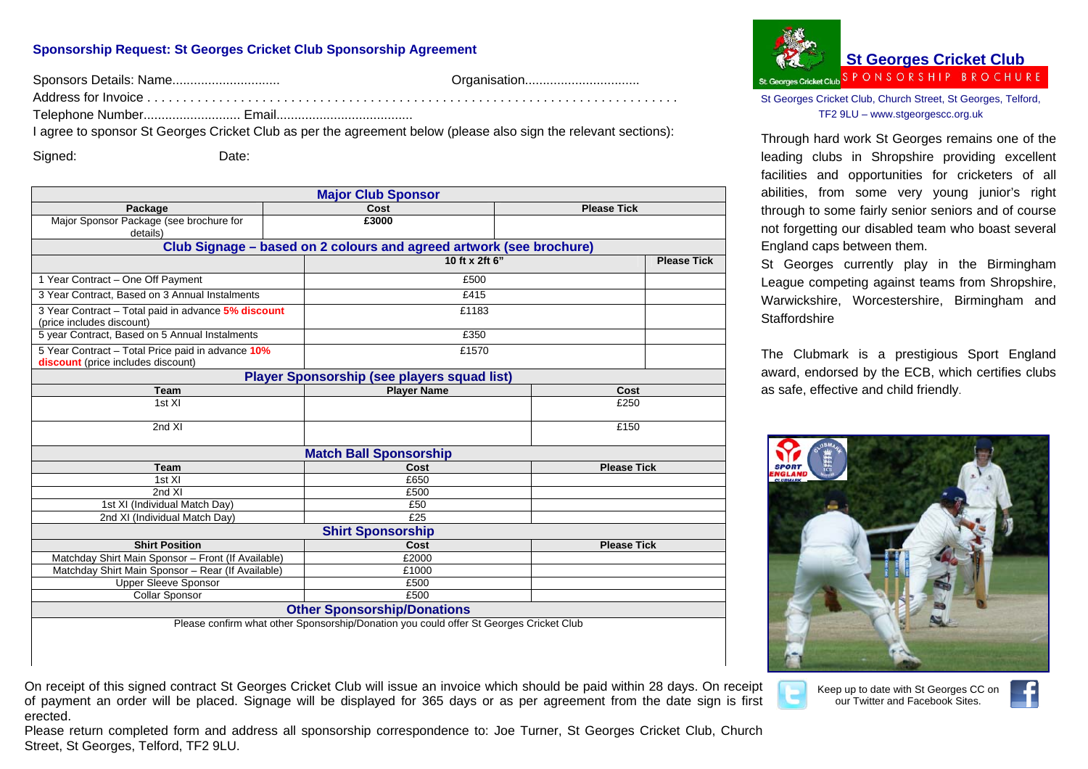## **Sponsorship Request: St Georges Cricket Club Sponsorship Agreement**

Sponsors Details: Name.............................. Organisation................................

Address for Invoice . . . . . . . . . . . . . . . . . . . . . . . . . . . . . . . . . . . . . . . . . . . . . . . . . . . . . . . . . . . . . . . . . . . . . . . . . .

Telephone Number........................... Email......................................

I agree to sponsor St Georges Cricket Club as per the agreement below (please also sign the relevant sections):

Signed: Date:

| <b>Major Club Sponsor</b>                                                              |  |                            |                    |                    |  |
|----------------------------------------------------------------------------------------|--|----------------------------|--------------------|--------------------|--|
| Package                                                                                |  | Cost                       | <b>Please Tick</b> |                    |  |
| Major Sponsor Package (see brochure for<br>details)                                    |  | £3000                      |                    |                    |  |
|                                                                                        |  |                            |                    |                    |  |
| Club Signage – based on 2 colours and agreed artwork (see brochure)                    |  |                            |                    |                    |  |
|                                                                                        |  | 10 ft x 2ft 6"             |                    | <b>Please Tick</b> |  |
| 1 Year Contract - One Off Payment                                                      |  | £500                       |                    |                    |  |
| 3 Year Contract, Based on 3 Annual Instalments                                         |  | £415                       |                    |                    |  |
| 3 Year Contract - Total paid in advance 5% discount                                    |  | £1183                      |                    |                    |  |
| (price includes discount)                                                              |  |                            |                    |                    |  |
| 5 year Contract, Based on 5 Annual Instalments                                         |  | £350                       |                    |                    |  |
| 5 Year Contract - Total Price paid in advance 10%                                      |  | £1570                      |                    |                    |  |
| discount (price includes discount)                                                     |  |                            |                    |                    |  |
| <b>Player Sponsorship (see players squad list)</b>                                     |  |                            |                    |                    |  |
| <b>Team</b>                                                                            |  | <b>Player Name</b>         | Cost               |                    |  |
| 1st XI                                                                                 |  |                            | £250               |                    |  |
|                                                                                        |  |                            |                    |                    |  |
| 2nd XI                                                                                 |  |                            | £150               |                    |  |
| <b>Match Ball Sponsorship</b>                                                          |  |                            |                    |                    |  |
| <b>Team</b>                                                                            |  | Cost                       | <b>Please Tick</b> |                    |  |
| 1st XI                                                                                 |  | £650                       |                    |                    |  |
| 2nd XI                                                                                 |  | £500                       |                    |                    |  |
| 1st XI (Individual Match Day)                                                          |  | £50                        |                    |                    |  |
| 2nd XI (Individual Match Day)                                                          |  | E25                        |                    |                    |  |
| <b>Shirt Sponsorship</b>                                                               |  |                            |                    |                    |  |
| <b>Shirt Position</b>                                                                  |  | <b>Please Tick</b><br>Cost |                    |                    |  |
| Matchday Shirt Main Sponsor - Front (If Available)                                     |  | £2000                      |                    |                    |  |
| Matchday Shirt Main Sponsor - Rear (If Available)                                      |  | £1000                      |                    |                    |  |
| <b>Upper Sleeve Sponsor</b>                                                            |  | £500                       |                    |                    |  |
| Collar Sponsor                                                                         |  | £500                       |                    |                    |  |
| <b>Other Sponsorship/Donations</b>                                                     |  |                            |                    |                    |  |
| Please confirm what other Sponsorship/Donation you could offer St Georges Cricket Club |  |                            |                    |                    |  |

On receipt of this signed contract St Georges Cricket Club will issue an invoice which should be paid within 28 days. On receipt of payment an order will be placed. Signage will be displayed for 365 days or as per agreement from the date sign is first erected.

Please return completed form and address all sponsorship correspondence to: Joe Turner, St Georges Cricket Club, Church Street, St Georges, Telford, TF2 9LU.



St Georges Cricket Club, Church Street, St Georges, Telford, TF2 9LU – www.stgeorgescc.org.uk

Through hard work St Georges remains one of the leading clubs in Shropshire providing excellent facilities and opportunities for cricketers of all abilities, from some very young junior's right through to some fairly senior seniors and of course not forgetting our disabled team who boast several England caps between them.

St Georges currently play in the Birmingham League competing against teams from Shropshire, Warwickshire, Worcestershire, Birmingham and **Staffordshire** 

The Clubmark is a prestigious Sport England award, endorsed by the ECB, which certifies clubs as safe, effective and child friendly.